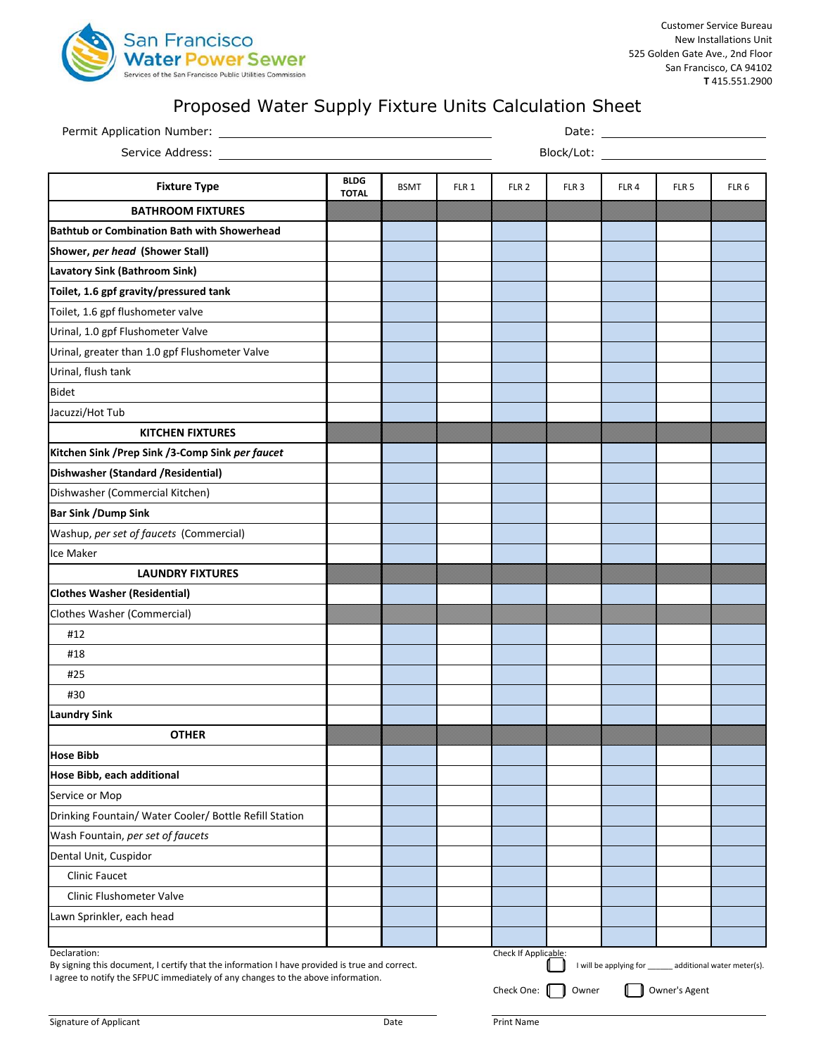

| Block/Lot: Example 2014<br>Service Address:<br><b>BLDG</b><br><b>Fixture Type</b><br><b>BSMT</b><br>FLR 1<br>FLR <sub>2</sub><br>FLR <sub>3</sub><br>FLR4<br>FLR <sub>5</sub><br><b>TOTAL</b><br><b>BATHROOM FIXTURES</b><br><b>KITCHEN FIXTURES</b><br><b>LAUNDRY FIXTURES</b><br>#12<br>#18<br>#25<br>#30<br><b>OTHER</b><br><b>Clinic Faucet</b><br><b>Clinic Flushometer Valve</b><br>Check If Applicable:                                                                                                                                                                                          | Permit Application Number: |  |  |  |  |  |  |                  |
|---------------------------------------------------------------------------------------------------------------------------------------------------------------------------------------------------------------------------------------------------------------------------------------------------------------------------------------------------------------------------------------------------------------------------------------------------------------------------------------------------------------------------------------------------------------------------------------------------------|----------------------------|--|--|--|--|--|--|------------------|
| Declaration:                                                                                                                                                                                                                                                                                                                                                                                                                                                                                                                                                                                            |                            |  |  |  |  |  |  |                  |
| <b>Bathtub or Combination Bath with Showerhead</b><br>Shower, per head (Shower Stall)<br><b>Lavatory Sink (Bathroom Sink)</b><br>Toilet, 1.6 gpf gravity/pressured tank<br>Toilet, 1.6 gpf flushometer valve<br>Urinal, 1.0 gpf Flushometer Valve<br>Urinal, greater than 1.0 gpf Flushometer Valve<br>Urinal, flush tank<br>Bidet<br>Jacuzzi/Hot Tub<br>Kitchen Sink / Prep Sink / 3-Comp Sink per faucet<br>Dishwasher (Standard / Residential)<br>Dishwasher (Commercial Kitchen)<br><b>Bar Sink /Dump Sink</b><br>Washup, per set of faucets (Commercial)<br>Ice Maker<br>Lawn Sprinkler, each head |                            |  |  |  |  |  |  | FLR <sub>6</sub> |
|                                                                                                                                                                                                                                                                                                                                                                                                                                                                                                                                                                                                         |                            |  |  |  |  |  |  |                  |
|                                                                                                                                                                                                                                                                                                                                                                                                                                                                                                                                                                                                         |                            |  |  |  |  |  |  |                  |
|                                                                                                                                                                                                                                                                                                                                                                                                                                                                                                                                                                                                         |                            |  |  |  |  |  |  |                  |
|                                                                                                                                                                                                                                                                                                                                                                                                                                                                                                                                                                                                         |                            |  |  |  |  |  |  |                  |
|                                                                                                                                                                                                                                                                                                                                                                                                                                                                                                                                                                                                         |                            |  |  |  |  |  |  |                  |
|                                                                                                                                                                                                                                                                                                                                                                                                                                                                                                                                                                                                         |                            |  |  |  |  |  |  |                  |
|                                                                                                                                                                                                                                                                                                                                                                                                                                                                                                                                                                                                         |                            |  |  |  |  |  |  |                  |
|                                                                                                                                                                                                                                                                                                                                                                                                                                                                                                                                                                                                         |                            |  |  |  |  |  |  |                  |
|                                                                                                                                                                                                                                                                                                                                                                                                                                                                                                                                                                                                         |                            |  |  |  |  |  |  |                  |
|                                                                                                                                                                                                                                                                                                                                                                                                                                                                                                                                                                                                         |                            |  |  |  |  |  |  |                  |
|                                                                                                                                                                                                                                                                                                                                                                                                                                                                                                                                                                                                         |                            |  |  |  |  |  |  |                  |
|                                                                                                                                                                                                                                                                                                                                                                                                                                                                                                                                                                                                         |                            |  |  |  |  |  |  |                  |
|                                                                                                                                                                                                                                                                                                                                                                                                                                                                                                                                                                                                         |                            |  |  |  |  |  |  |                  |
|                                                                                                                                                                                                                                                                                                                                                                                                                                                                                                                                                                                                         |                            |  |  |  |  |  |  |                  |
|                                                                                                                                                                                                                                                                                                                                                                                                                                                                                                                                                                                                         |                            |  |  |  |  |  |  |                  |
|                                                                                                                                                                                                                                                                                                                                                                                                                                                                                                                                                                                                         |                            |  |  |  |  |  |  |                  |
|                                                                                                                                                                                                                                                                                                                                                                                                                                                                                                                                                                                                         |                            |  |  |  |  |  |  |                  |
|                                                                                                                                                                                                                                                                                                                                                                                                                                                                                                                                                                                                         |                            |  |  |  |  |  |  |                  |
| <b>Clothes Washer (Residential)</b><br>Clothes Washer (Commercial)<br><b>Laundry Sink</b><br><b>Hose Bibb</b><br>Hose Bibb, each additional<br>Service or Mop<br>Drinking Fountain/ Water Cooler/ Bottle Refill Station<br>Wash Fountain, per set of faucets<br>Dental Unit, Cuspidor                                                                                                                                                                                                                                                                                                                   |                            |  |  |  |  |  |  |                  |
|                                                                                                                                                                                                                                                                                                                                                                                                                                                                                                                                                                                                         |                            |  |  |  |  |  |  |                  |
|                                                                                                                                                                                                                                                                                                                                                                                                                                                                                                                                                                                                         |                            |  |  |  |  |  |  |                  |
|                                                                                                                                                                                                                                                                                                                                                                                                                                                                                                                                                                                                         |                            |  |  |  |  |  |  |                  |
|                                                                                                                                                                                                                                                                                                                                                                                                                                                                                                                                                                                                         |                            |  |  |  |  |  |  |                  |
|                                                                                                                                                                                                                                                                                                                                                                                                                                                                                                                                                                                                         |                            |  |  |  |  |  |  |                  |
|                                                                                                                                                                                                                                                                                                                                                                                                                                                                                                                                                                                                         |                            |  |  |  |  |  |  |                  |
|                                                                                                                                                                                                                                                                                                                                                                                                                                                                                                                                                                                                         |                            |  |  |  |  |  |  |                  |
|                                                                                                                                                                                                                                                                                                                                                                                                                                                                                                                                                                                                         |                            |  |  |  |  |  |  |                  |
|                                                                                                                                                                                                                                                                                                                                                                                                                                                                                                                                                                                                         |                            |  |  |  |  |  |  |                  |
|                                                                                                                                                                                                                                                                                                                                                                                                                                                                                                                                                                                                         |                            |  |  |  |  |  |  |                  |
|                                                                                                                                                                                                                                                                                                                                                                                                                                                                                                                                                                                                         |                            |  |  |  |  |  |  |                  |
|                                                                                                                                                                                                                                                                                                                                                                                                                                                                                                                                                                                                         |                            |  |  |  |  |  |  |                  |
|                                                                                                                                                                                                                                                                                                                                                                                                                                                                                                                                                                                                         |                            |  |  |  |  |  |  |                  |
|                                                                                                                                                                                                                                                                                                                                                                                                                                                                                                                                                                                                         |                            |  |  |  |  |  |  |                  |
|                                                                                                                                                                                                                                                                                                                                                                                                                                                                                                                                                                                                         |                            |  |  |  |  |  |  |                  |
|                                                                                                                                                                                                                                                                                                                                                                                                                                                                                                                                                                                                         |                            |  |  |  |  |  |  |                  |
|                                                                                                                                                                                                                                                                                                                                                                                                                                                                                                                                                                                                         |                            |  |  |  |  |  |  |                  |
|                                                                                                                                                                                                                                                                                                                                                                                                                                                                                                                                                                                                         |                            |  |  |  |  |  |  |                  |
|                                                                                                                                                                                                                                                                                                                                                                                                                                                                                                                                                                                                         |                            |  |  |  |  |  |  |                  |
| By signing this document, I certify that the information I have provided is true and correct.<br>I will be applying for ______ additional water meter(s).                                                                                                                                                                                                                                                                                                                                                                                                                                               |                            |  |  |  |  |  |  |                  |
| I agree to notify the SFPUC immediately of any changes to the above information.<br>Owner's Agent<br>Check One:<br>Owner                                                                                                                                                                                                                                                                                                                                                                                                                                                                                |                            |  |  |  |  |  |  |                  |

## Proposed Water Supply Fixture Units Calculation Sheet